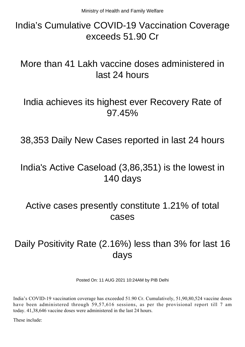## India's Cumulative COVID-19 Vaccination Coverage exceeds 51.90 Cr

## More than 41 Lakh vaccine doses administered in last 24 hours

### India achieves its highest ever Recovery Rate of 97.45%

38,353 Daily New Cases reported in last 24 hours

## India's Active Caseload (3,86,351) is the lowest in 140 days

#### Active cases presently constitute 1.21% of total cases

# Daily Positivity Rate (2.16%) less than 3% for last 16 days

Posted On: 11 AUG 2021 10:24AM by PIB Delhi

India's COVID-19 vaccination coverage has exceeded 51.90 Cr. Cumulatively, 51,90,80,524 vaccine doses have been administered through 59,57,616 sessions, as per the provisional report till 7 am today. 41,38,646 vaccine doses were administered in the last 24 hours.

These include: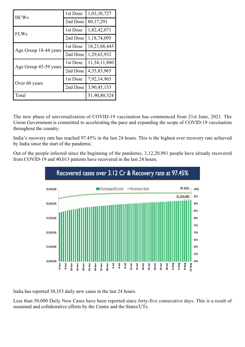| <b>HCWs</b>           | 1st Dose | 1,03,38,727    |
|-----------------------|----------|----------------|
|                       | 2nd Dose | 80,17,291      |
| <b>FLWs</b>           | 1st Dose | 1,82,42,071    |
|                       | 2nd Dose | 1,18,74,095    |
| Age Group 18-44 years | 1st Dose | 18,23,88,445   |
|                       | 2nd Dose | 1,29,63,932    |
| Age Group 45-59 years | 1st Dose | 11,34,11,880   |
|                       | 2nd Dose | 4, 35, 83, 965 |
| Over 60 years         | 1st Dose | 7,92,14,965    |
|                       | 2nd Dose | 3,90,45,153    |
| Total                 |          | 51,90,80,524   |

The new phase of universalization of COVID-19 vaccination has commenced from 21st June, 2021. The Union Government is committed to accelerating the pace and expanding the scope of COVID-19 vaccination throughout the country.

India's recovery rate has reached 97.45% in the last 24 hours. This is the highest ever recovery rate achieved by India since the start of the pandemic.

Out of the people infected since the beginning of the pandemic, 3,12,20,981 people have already recovered from COVID-19 and 40,013 patients have recovered in the last 24 hours.



India has reported 38,353 daily new cases in the last 24 hours.

Less than 50,000 Daily New Cases have been reported since forty-five consecutive days. This is a result of sustained and collaborative efforts by the Centre and the States/UTs.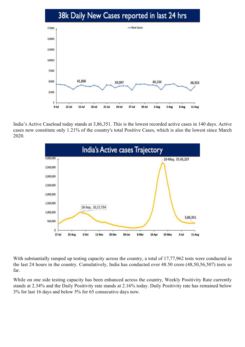#### 38k Daily New Cases reported in last 24 hrs



India's Active Caseload today stands at 3,86,351. This is the lowest recorded active cases in 140 days. Active cases now constitute only 1.21% of the country's total Positive Cases, which is also the lowest since March 2020.



With substantially ramped up testing capacity across the country, a total of 17,77,962 tests were conducted in the last 24 hours in the country. Cumulatively, India has conducted over 48.50 crore (48,50,56,507) tests so far.

While on one side testing capacity has been enhanced across the country, Weekly Positivity Rate currently stands at 2.34% and the Daily Positivity rate stands at 2.16% today. Daily Positivity rate has remained below 3% for last 16 days and below 5% for 65 consecutive days now.